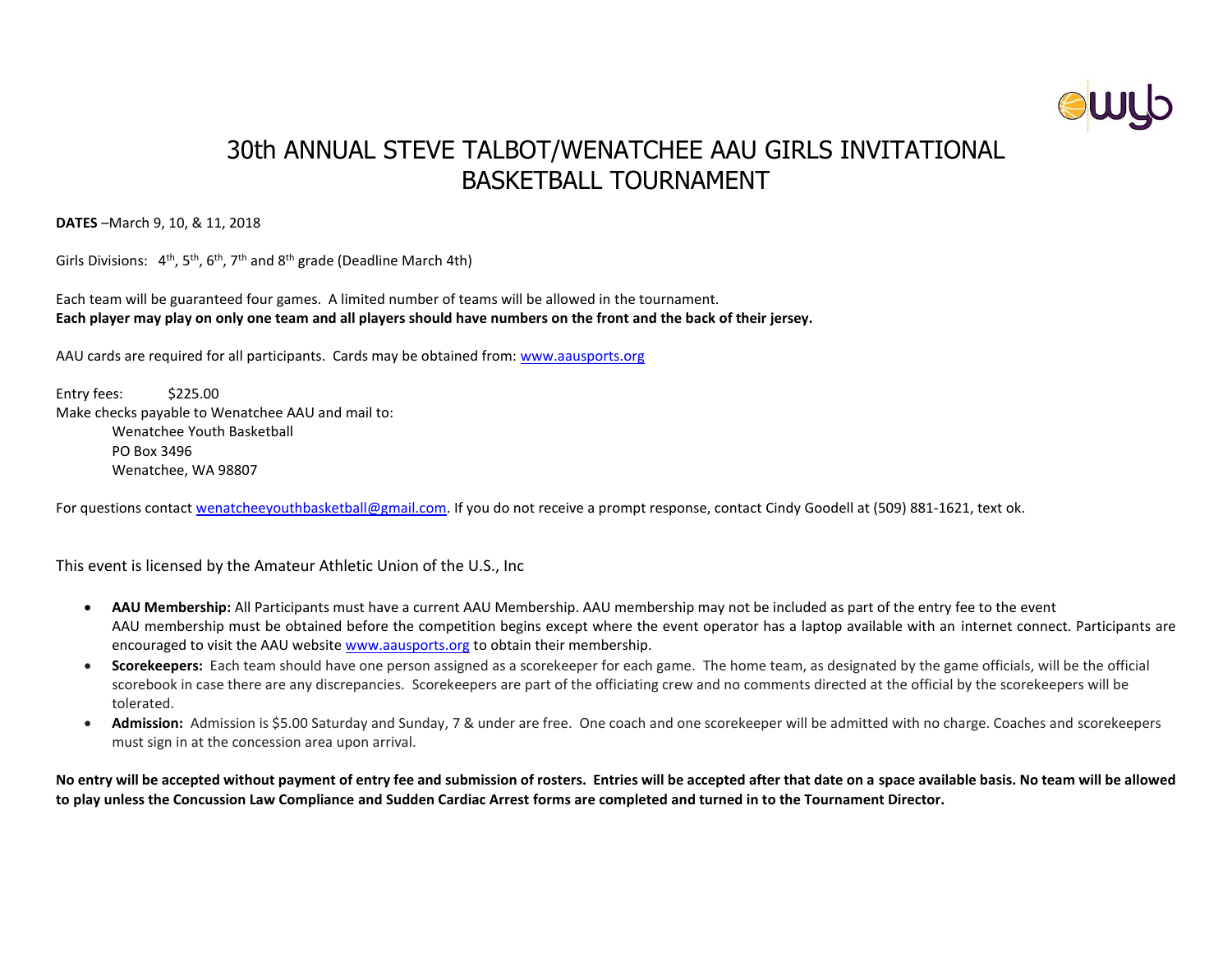

# 30th ANNUAL STEVE TALBOT/WENATCHEE AAU GIRLS INVITATIONAL BASKETBALL TOURNAMENT

**DATES** –March 9, 10, & 11, 2018

Girls Divisions:  $4<sup>th</sup>$ , 5<sup>th</sup>, 6<sup>th</sup>, 7<sup>th</sup> and 8<sup>th</sup> grade (Deadline March 4th)

Each team will be guaranteed four games. A limited number of teams will be allowed in the tournament. **Each player may play on only one team and all players should have numbers on the front and the back of their jersey.**

AAU cards are required for all participants. Cards may be obtained from: [www.aausports.org](http://www.aausports.org/)

Entry fees: \$225.00 Make checks payable to Wenatchee AAU and mail to: Wenatchee Youth Basketball PO Box 3496 Wenatchee, WA 98807

For questions contact [wenatcheeyouthbasketball@gmail.com.](mailto:wenatcheeyouthbasketball@gmail.com) If you do not receive a prompt response, contact Cindy Goodell at (509) 881-1621, text ok.

This event is licensed by the Amateur Athletic Union of the U.S., Inc

- **AAU Membership:** All Participants must have a current AAU Membership. AAU membership may not be included as part of the entry fee to the event AAU membership must be obtained before the competition begins except where the event operator has a laptop available with an internet connect. Participants are encouraged to visit the AAU website [www.aausports.org](http://www.aausports.org/) to obtain their membership.
- **Scorekeepers:** Each team should have one person assigned as a scorekeeper for each game. The home team, as designated by the game officials, will be the official scorebook in case there are any discrepancies. Scorekeepers are part of the officiating crew and no comments directed at the official by the scorekeepers will be tolerated.
- **Admission:** Admission is \$5.00 Saturday and Sunday, 7 & under are free. One coach and one scorekeeper will be admitted with no charge. Coaches and scorekeepers must sign in at the concession area upon arrival.

**No entry will be accepted without payment of entry fee and submission of rosters. Entries will be accepted after that date on a space available basis. No team will be allowed to play unless the Concussion Law Compliance and Sudden Cardiac Arrest forms are completed and turned in to the Tournament Director.**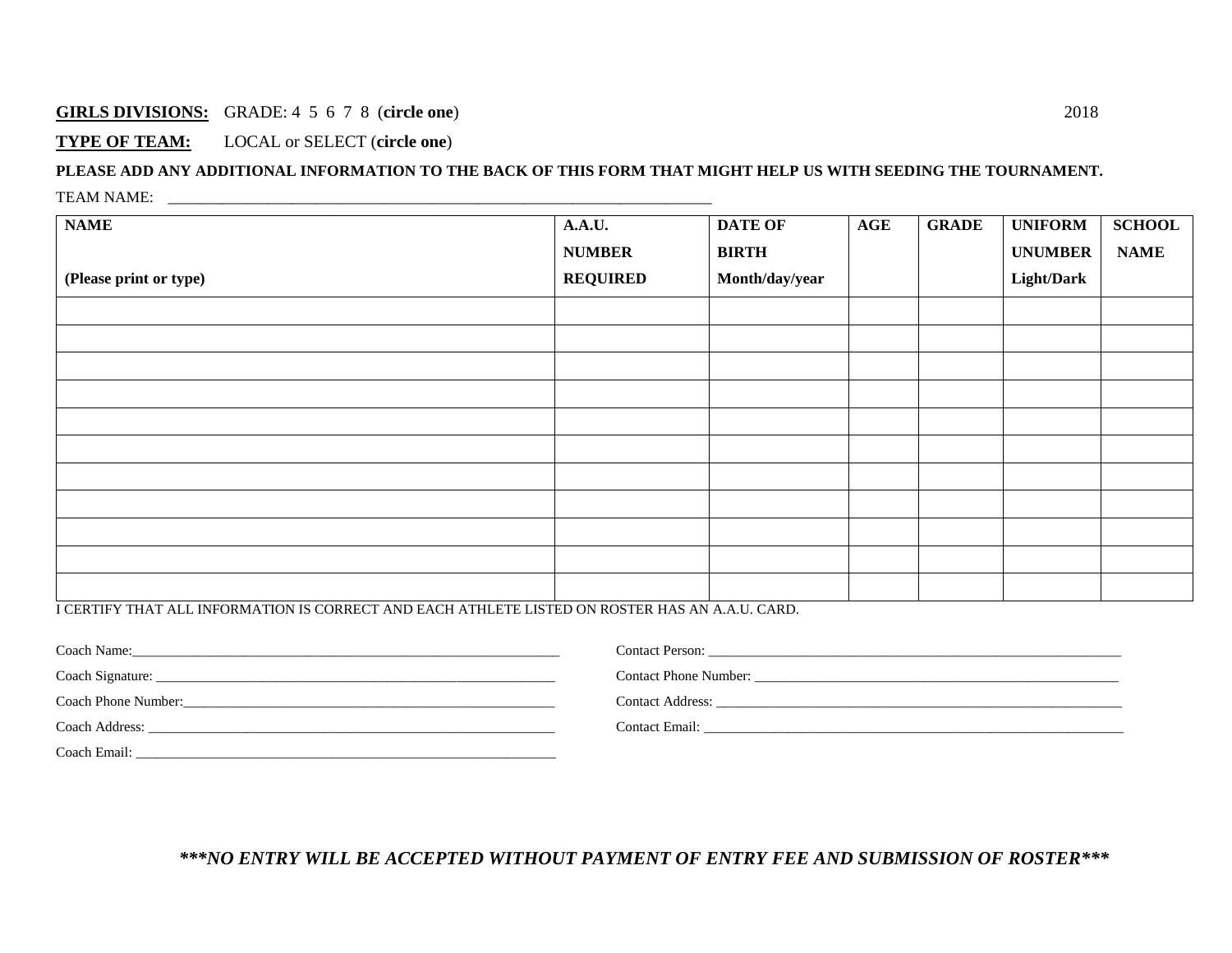#### **GIRLS DIVISIONS:** GRADE: 4 5 6 7 8 (**circle one**) 2018

#### **TYPE OF TEAM:** LOCAL or SELECT (**circle one**)

### **PLEASE ADD ANY ADDITIONAL INFORMATION TO THE BACK OF THIS FORM THAT MIGHT HELP US WITH SEEDING THE TOURNAMENT.** TEAM NAME:

| <b>NAME</b>                                                                                   | A.A.U.          | <b>DATE OF</b> | <b>AGE</b> | <b>GRADE</b> | <b>UNIFORM</b>    | <b>SCHOOL</b> |
|-----------------------------------------------------------------------------------------------|-----------------|----------------|------------|--------------|-------------------|---------------|
|                                                                                               | <b>NUMBER</b>   | <b>BIRTH</b>   |            |              | <b>UNUMBER</b>    | <b>NAME</b>   |
| (Please print or type)                                                                        | <b>REQUIRED</b> | Month/day/year |            |              | <b>Light/Dark</b> |               |
|                                                                                               |                 |                |            |              |                   |               |
|                                                                                               |                 |                |            |              |                   |               |
|                                                                                               |                 |                |            |              |                   |               |
|                                                                                               |                 |                |            |              |                   |               |
|                                                                                               |                 |                |            |              |                   |               |
|                                                                                               |                 |                |            |              |                   |               |
|                                                                                               |                 |                |            |              |                   |               |
|                                                                                               |                 |                |            |              |                   |               |
|                                                                                               |                 |                |            |              |                   |               |
|                                                                                               |                 |                |            |              |                   |               |
|                                                                                               |                 |                |            |              |                   |               |
| LCERTIEV THAT ALL INFORMATION IS CORRECT AND FACH ATHLETE LISTED ON ROSTER HAS AN A ALL CARD. |                 |                |            |              |                   |               |

I CERTIFY THAT ALL INFORMATION IS CORRECT AND EACH ATHLETE LISTED ON ROSTER HAS AN A.A.U. CARD.

| Coach Name:         | <b>Contact Person:</b>       |
|---------------------|------------------------------|
| Coach Signature:    | <b>Contact Phone Number:</b> |
| Coach Phone Number: | <b>Contact Address:</b>      |
| Coach Address:      | Contact Email:               |
| Coach Email:        |                              |

*\*\*\*NO ENTRY WILL BE ACCEPTED WITHOUT PAYMENT OF ENTRY FEE AND SUBMISSION OF ROSTER\*\*\**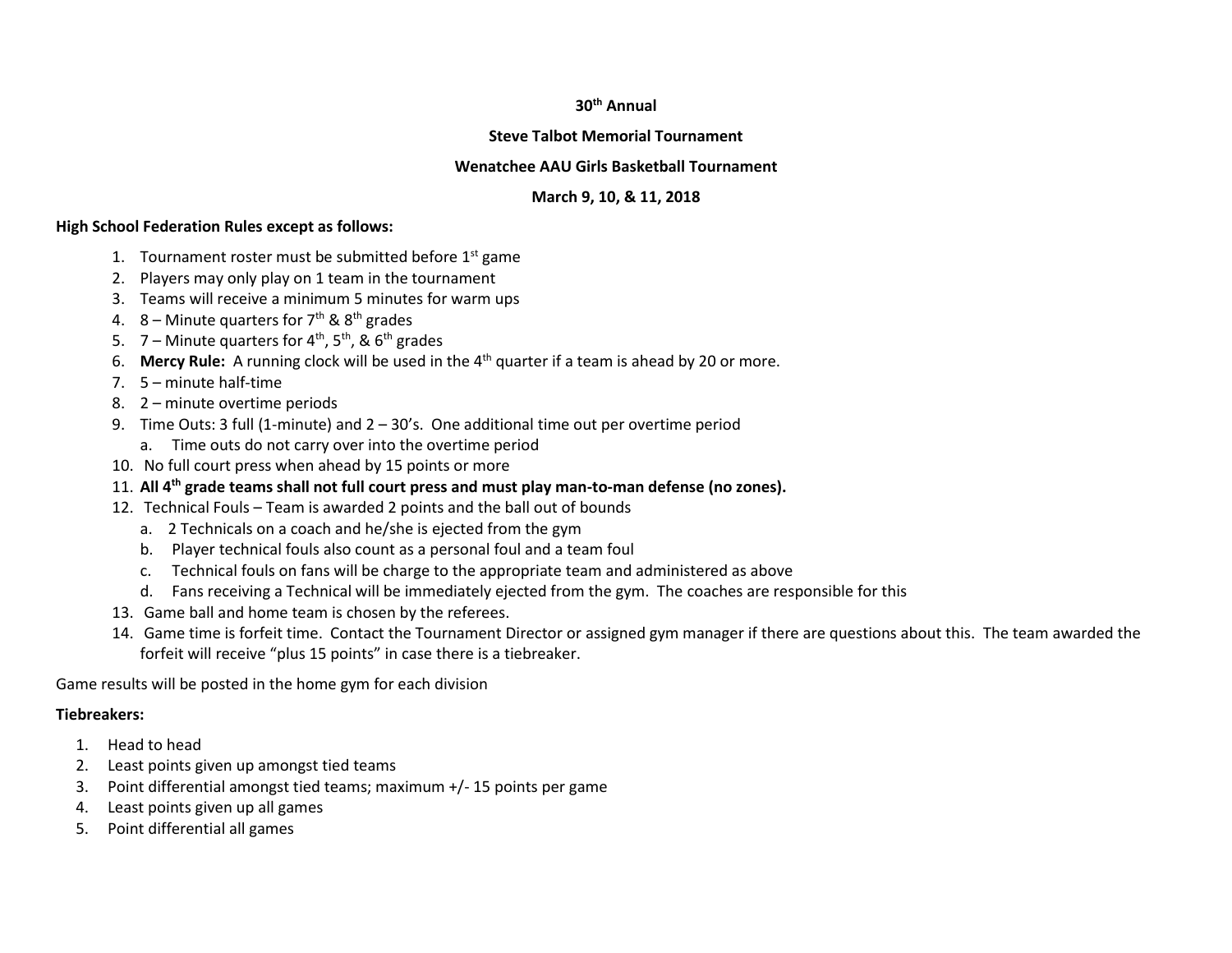#### **30th Annual**

#### **Steve Talbot Memorial Tournament**

#### **Wenatchee AAU Girls Basketball Tournament**

#### **March 9, 10, & 11, 2018**

#### **High School Federation Rules except as follows:**

- 1. Tournament roster must be submitted before  $1<sup>st</sup>$  game
- 2. Players may only play on 1 team in the tournament
- 3. Teams will receive a minimum 5 minutes for warm ups
- 4. 8 Minute quarters for  $7<sup>th</sup>$  &  $8<sup>th</sup>$  grades
- 5. 7 Minute quarters for  $4^{th}$ ,  $5^{th}$ , &  $6^{th}$  grades
- 6. **Mercy Rule:** A running clock will be used in the 4th quarter if a team is ahead by 20 or more.
- 7. 5 minute half-time
- 8. 2 minute overtime periods
- 9. Time Outs: 3 full (1-minute) and 2 30's. One additional time out per overtime period
	- a. Time outs do not carry over into the overtime period
- 10. No full court press when ahead by 15 points or more
- 11. **All 4th grade teams shall not full court press and must play man-to-man defense (no zones).**
- 12. Technical Fouls Team is awarded 2 points and the ball out of bounds
	- a. 2 Technicals on a coach and he/she is ejected from the gym
	- b. Player technical fouls also count as a personal foul and a team foul
	- c. Technical fouls on fans will be charge to the appropriate team and administered as above
	- d. Fans receiving a Technical will be immediately ejected from the gym. The coaches are responsible for this
- 13. Game ball and home team is chosen by the referees.
- 14. Game time is forfeit time. Contact the Tournament Director or assigned gym manager if there are questions about this. The team awarded the forfeit will receive "plus 15 points" in case there is a tiebreaker.

Game results will be posted in the home gym for each division

#### **Tiebreakers:**

- 1. Head to head
- 2. Least points given up amongst tied teams
- 3. Point differential amongst tied teams; maximum +/- 15 points per game
- 4. Least points given up all games
- 5. Point differential all games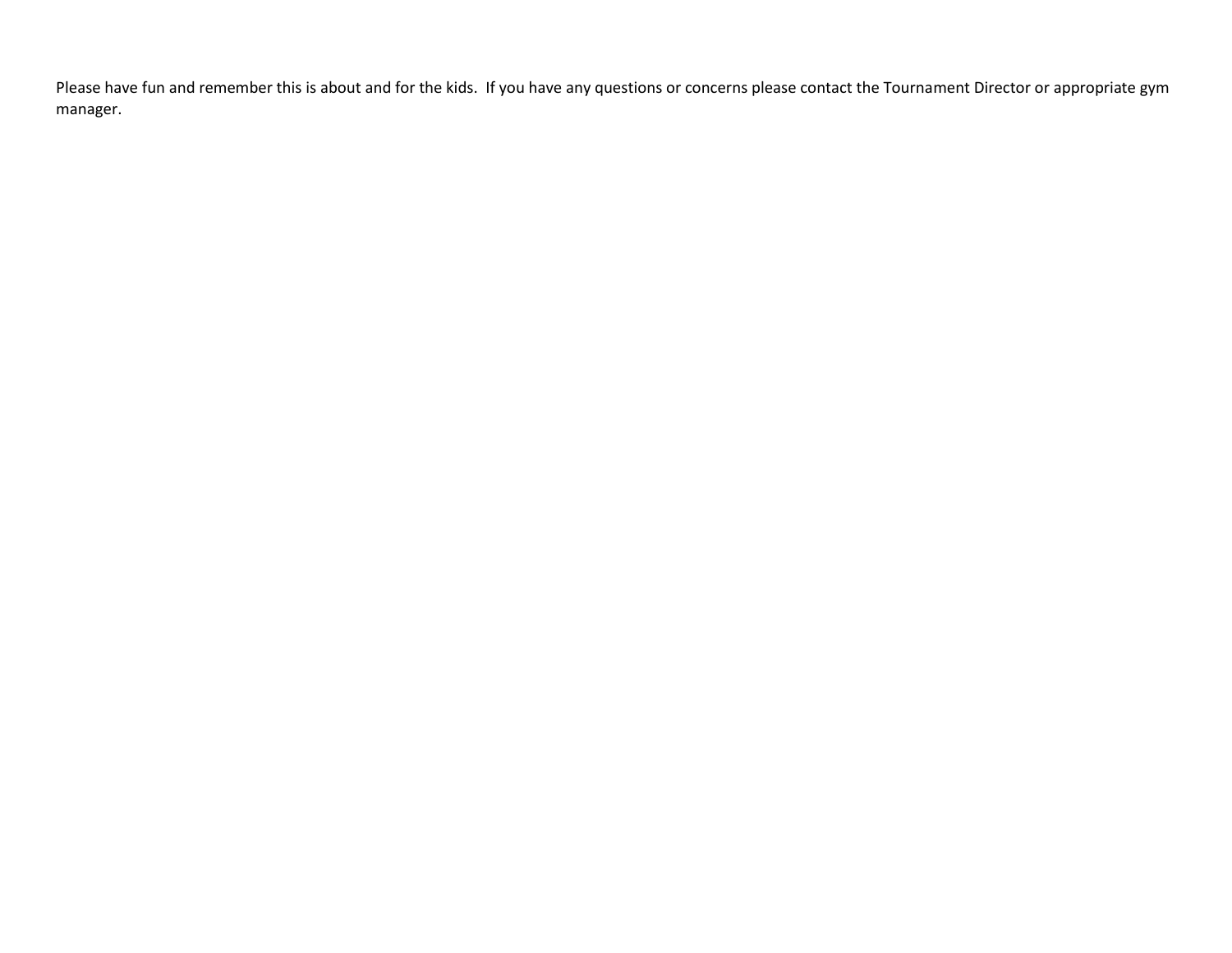Please have fun and remember this is about and for the kids. If you have any questions or concerns please contact the Tournament Director or appropriate gym manager.